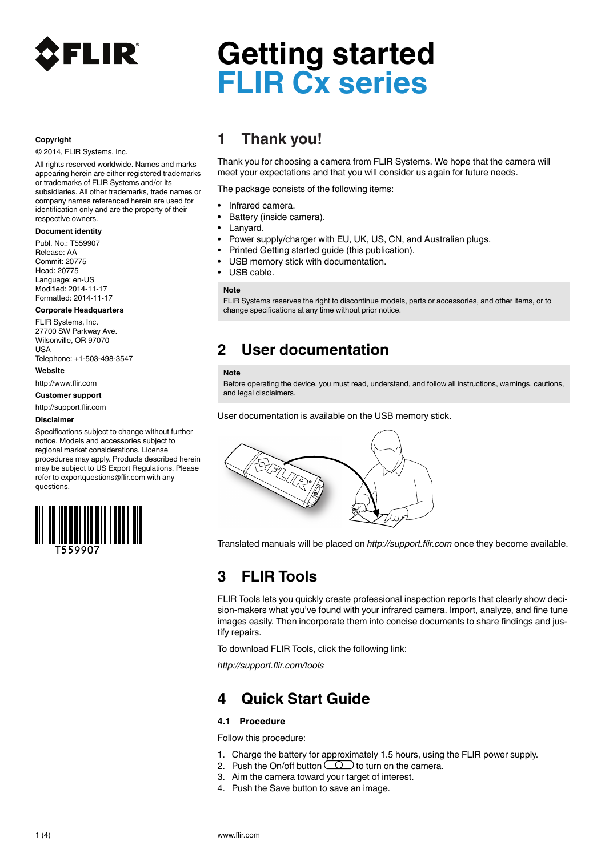

### **Copyright**

© 2014, FLIR Systems, Inc.

All rights reserved worldwide. Names and marks appearing herein are either registered trademarks or trademarks of FLIR Systems and/or its subsidiaries. All other trademarks, trade names or company names referenced herein are used for identification only and are the property of their respective owners.

### **Document identity**

Publ. No.: T559907 Release: AA Commit: 20775 Head: 20775 Language: en-US Modified: 2014-11-17 Formatted: 2014-11-17

### **Corporate Headquarters**

FLIR Systems, Inc. 27700 SW Parkway Ave. Wilsonville, OR 97070  $\overline{11}$ Telephone: +1-503-498-3547

#### **Website**

http://www.flir.com

### **Customer support**

http://support.flir.com

#### **Disclaimer**

Specifications subject to change without further notice. Models and accessories subject to regional market considerations. License procedures may apply. Products described herein may be subject to US Export Regulations. Please refer to exportquestions@flir.com with any questions.



## **1 Thank you!**

Thank you for choosing a camera from FLIR Systems. We hope that the camera will meet your expectations and that you will consider us again for future needs.

The package consists of the following items:

- Infrared camera.
- Battery (inside camera).
- Lanyard.
- Power supply/charger with EU, UK, US, CN, and Australian plugs.
- Printed Getting started guide (this publication).
- USB memory stick with documentation.
- USB cable.

### **Note**

FLIR Systems reserves the right to discontinue models, parts or accessories, and other items, or to change specifications at any time without prior notice.

### **2 User documentation**

#### **Note**

Before operating the device, you must read, understand, and follow all instructions, warnings, cautions, and legal disclaimers.

User documentation is available on the USB memory stick.



Translated manuals will be placed on *http://support.flir.com* once they become available.

# **3 FLIR Tools**

FLIR Tools lets you quickly create professional inspection reports that clearly show decision-makers what you've found with your infrared camera. Import, analyze, and fine tune images easily. Then incorporate them into concise documents to share findings and justify repairs.

To download FLIR Tools, click the following link:

*http://support.flir.com/tools*

# **4 Quick Start Guide**

### **4.1 Procedure**

Follow this procedure:

- 1. Charge the battery for approximately 1.5 hours, using the FLIR power supply.
- 2. Push the On/off button  $\circled{1}$  to turn on the camera.
- 3. Aim the camera toward your target of interest.
- 4. Push the Save button to save an image.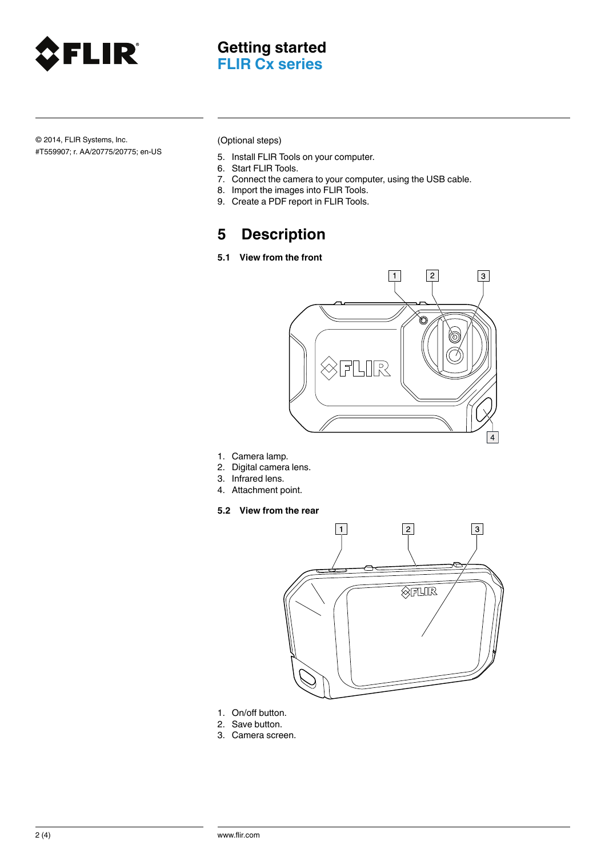

© 2014, FLIR Systems, Inc. #T559907; r. AA/20775/20775; en-US (Optional steps)

- 5. Install FLIR Tools on your computer.
- 6. Start FLIR Tools.
- 7. Connect the camera to your computer, using the USB cable.
- 8. Import the images into FLIR Tools.
- 9. Create a PDF report in FLIR Tools.

## **5 Description**

**5.1 View from the front**



- 1. Camera lamp.
- 2. Digital camera lens.
- 3. Infrared lens.
- 4. Attachment point.
- **5.2 View from the rear**



- 1. On/off button.
- 2. Save button.
- 3. Camera screen.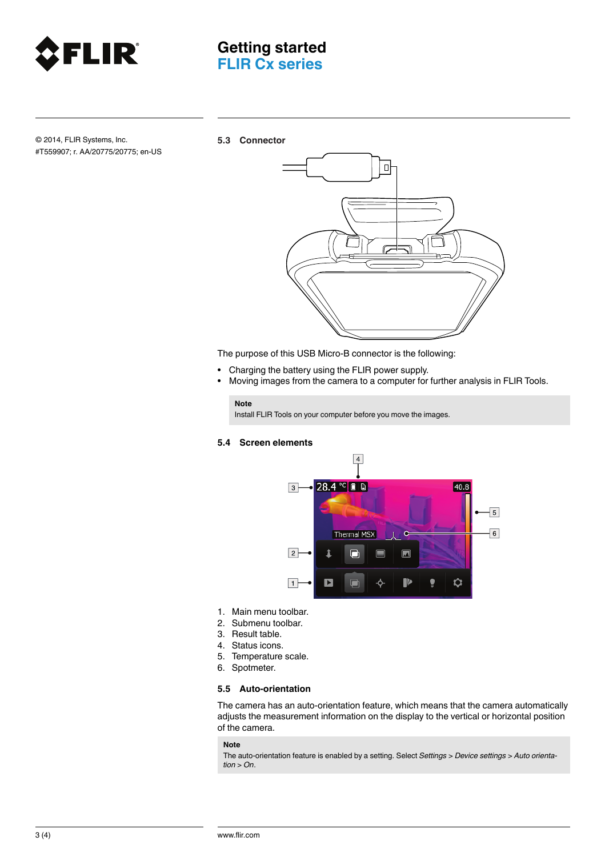

© 2014, FLIR Systems, Inc. #T559907; r. AA/20775/20775; en-US **5.3 Connector**



The purpose of this USB Micro-B connector is the following:

- Charging the battery using the FLIR power supply.
- Moving images from the camera to a computer for further analysis in FLIR Tools.

### **Note**

Install FLIR Tools on your computer before you move the images.

### **5.4 Screen elements**



- 1. Main menu toolbar.
- 2. Submenu toolbar.
- 3. Result table.
- 4. Status icons.
- 5. Temperature scale.
- 6. Spotmeter.

### **5.5 Auto-orientation**

The camera has an auto-orientation feature, which means that the camera automatically adjusts the measurement information on the display to the vertical or horizontal position of the camera.

### **Note**

The auto-orientation feature is enabled by a setting. Select *Settings* > *Device settings* > *Auto orientation* > *On*.